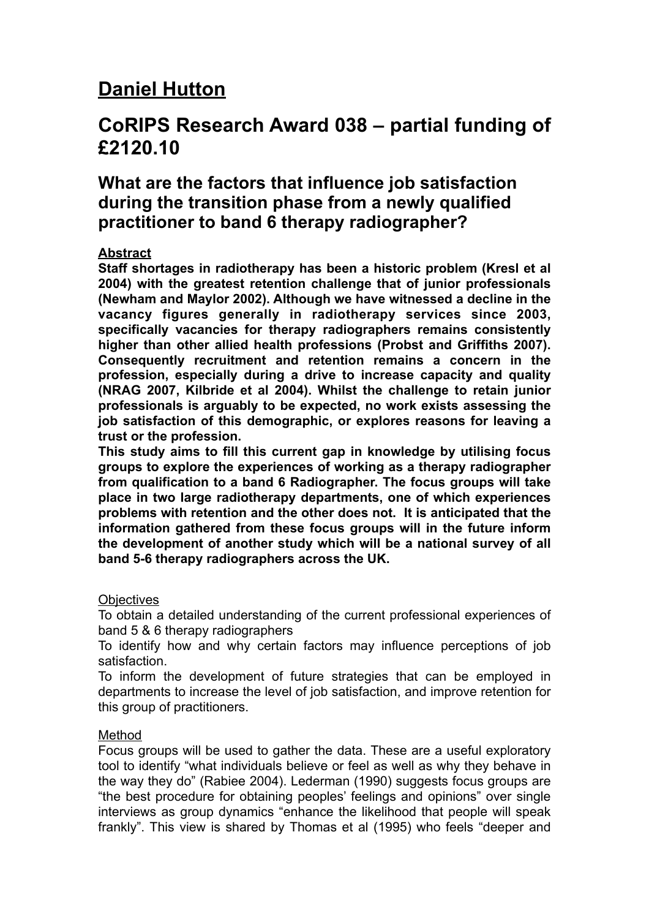# **Daniel Hutton**

## **CoRIPS Research Award 038 – partial funding of £2120.10**

## **What are the factors that influence job satisfaction during the transition phase from a newly qualified practitioner to band 6 therapy radiographer?**

## **Abstract**

**Staff shortages in radiotherapy has been a historic problem (Kresl et al 2004) with the greatest retention challenge that of junior professionals (Newham and Maylor 2002). Although we have witnessed a decline in the vacancy figures generally in radiotherapy services since 2003, specifically vacancies for therapy radiographers remains consistently higher than other allied health professions (Probst and Griffiths 2007). Consequently recruitment and retention remains a concern in the profession, especially during a drive to increase capacity and quality (NRAG 2007, Kilbride et al 2004). Whilst the challenge to retain junior professionals is arguably to be expected, no work exists assessing the job satisfaction of this demographic, or explores reasons for leaving a trust or the profession.** 

**This study aims to fill this current gap in knowledge by utilising focus groups to explore the experiences of working as a therapy radiographer from qualification to a band 6 Radiographer. The focus groups will take place in two large radiotherapy departments, one of which experiences problems with retention and the other does not. It is anticipated that the information gathered from these focus groups will in the future inform the development of another study which will be a national survey of all band 5-6 therapy radiographers across the UK.** 

## **Objectives**

To obtain a detailed understanding of the current professional experiences of band 5 & 6 therapy radiographers

To identify how and why certain factors may influence perceptions of job satisfaction.

To inform the development of future strategies that can be employed in departments to increase the level of job satisfaction, and improve retention for this group of practitioners.

## Method

Focus groups will be used to gather the data. These are a useful exploratory tool to identify "what individuals believe or feel as well as why they behave in the way they do" (Rabiee 2004). Lederman (1990) suggests focus groups are "the best procedure for obtaining peoples' feelings and opinions" over single interviews as group dynamics "enhance the likelihood that people will speak frankly". This view is shared by Thomas et al (1995) who feels "deeper and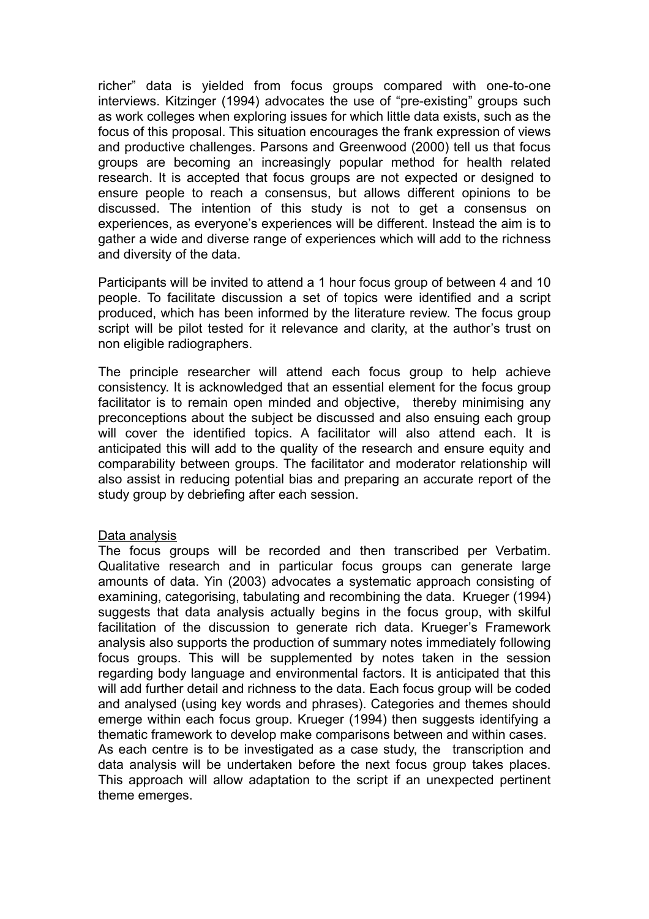richer" data is yielded from focus groups compared with one-to-one interviews. Kitzinger (1994) advocates the use of "pre-existing" groups such as work colleges when exploring issues for which little data exists, such as the focus of this proposal. This situation encourages the frank expression of views and productive challenges. Parsons and Greenwood (2000) tell us that focus groups are becoming an increasingly popular method for health related research. It is accepted that focus groups are not expected or designed to ensure people to reach a consensus, but allows different opinions to be discussed. The intention of this study is not to get a consensus on experiences, as everyone's experiences will be different. Instead the aim is to gather a wide and diverse range of experiences which will add to the richness and diversity of the data.

Participants will be invited to attend a 1 hour focus group of between 4 and 10 people. To facilitate discussion a set of topics were identified and a script produced, which has been informed by the literature review. The focus group script will be pilot tested for it relevance and clarity, at the author's trust on non eligible radiographers.

The principle researcher will attend each focus group to help achieve consistency. It is acknowledged that an essential element for the focus group facilitator is to remain open minded and objective, thereby minimising any preconceptions about the subject be discussed and also ensuing each group will cover the identified topics. A facilitator will also attend each. It is anticipated this will add to the quality of the research and ensure equity and comparability between groups. The facilitator and moderator relationship will also assist in reducing potential bias and preparing an accurate report of the study group by debriefing after each session.

## Data analysis

The focus groups will be recorded and then transcribed per Verbatim. Qualitative research and in particular focus groups can generate large amounts of data. Yin (2003) advocates a systematic approach consisting of examining, categorising, tabulating and recombining the data. Krueger (1994) suggests that data analysis actually begins in the focus group, with skilful facilitation of the discussion to generate rich data. Krueger's Framework analysis also supports the production of summary notes immediately following focus groups. This will be supplemented by notes taken in the session regarding body language and environmental factors. It is anticipated that this will add further detail and richness to the data. Each focus group will be coded and analysed (using key words and phrases). Categories and themes should emerge within each focus group. Krueger (1994) then suggests identifying a thematic framework to develop make comparisons between and within cases. As each centre is to be investigated as a case study, the transcription and data analysis will be undertaken before the next focus group takes places. This approach will allow adaptation to the script if an unexpected pertinent theme emerges.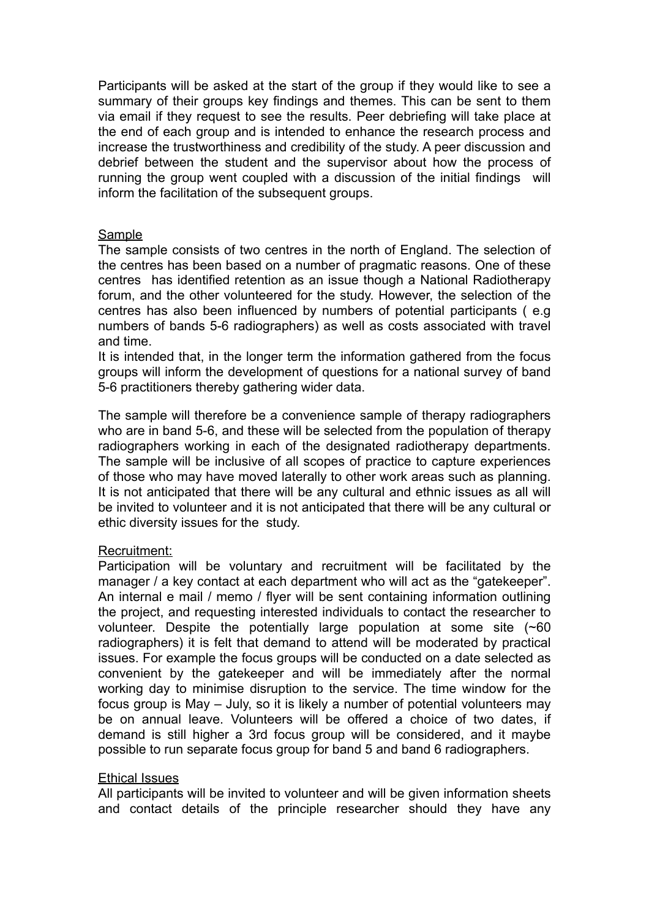Participants will be asked at the start of the group if they would like to see a summary of their groups key findings and themes. This can be sent to them via email if they request to see the results. Peer debriefing will take place at the end of each group and is intended to enhance the research process and increase the trustworthiness and credibility of the study. A peer discussion and debrief between the student and the supervisor about how the process of running the group went coupled with a discussion of the initial findings will inform the facilitation of the subsequent groups.

#### Sample

The sample consists of two centres in the north of England. The selection of the centres has been based on a number of pragmatic reasons. One of these centres has identified retention as an issue though a National Radiotherapy forum, and the other volunteered for the study. However, the selection of the centres has also been influenced by numbers of potential participants ( e.g numbers of bands 5-6 radiographers) as well as costs associated with travel and time.

It is intended that, in the longer term the information gathered from the focus groups will inform the development of questions for a national survey of band 5-6 practitioners thereby gathering wider data.

The sample will therefore be a convenience sample of therapy radiographers who are in band 5-6, and these will be selected from the population of therapy radiographers working in each of the designated radiotherapy departments. The sample will be inclusive of all scopes of practice to capture experiences of those who may have moved laterally to other work areas such as planning. It is not anticipated that there will be any cultural and ethnic issues as all will be invited to volunteer and it is not anticipated that there will be any cultural or ethic diversity issues for the study.

## Recruitment:

Participation will be voluntary and recruitment will be facilitated by the manager / a key contact at each department who will act as the "gatekeeper". An internal e mail / memo / flyer will be sent containing information outlining the project, and requesting interested individuals to contact the researcher to volunteer. Despite the potentially large population at some site (~60 radiographers) it is felt that demand to attend will be moderated by practical issues. For example the focus groups will be conducted on a date selected as convenient by the gatekeeper and will be immediately after the normal working day to minimise disruption to the service. The time window for the focus group is May – July, so it is likely a number of potential volunteers may be on annual leave. Volunteers will be offered a choice of two dates, if demand is still higher a 3rd focus group will be considered, and it maybe possible to run separate focus group for band 5 and band 6 radiographers.

#### Ethical Issues

All participants will be invited to volunteer and will be given information sheets and contact details of the principle researcher should they have any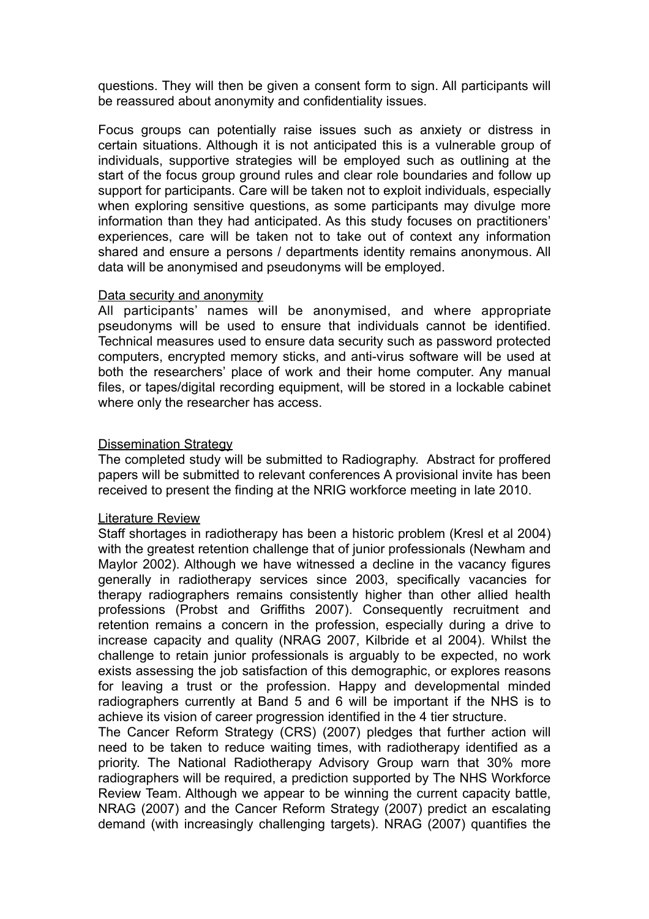questions. They will then be given a consent form to sign. All participants will be reassured about anonymity and confidentiality issues.

Focus groups can potentially raise issues such as anxiety or distress in certain situations. Although it is not anticipated this is a vulnerable group of individuals, supportive strategies will be employed such as outlining at the start of the focus group ground rules and clear role boundaries and follow up support for participants. Care will be taken not to exploit individuals, especially when exploring sensitive questions, as some participants may divulge more information than they had anticipated. As this study focuses on practitioners' experiences, care will be taken not to take out of context any information shared and ensure a persons / departments identity remains anonymous. All data will be anonymised and pseudonyms will be employed.

#### Data security and anonymity

All participants' names will be anonymised, and where appropriate pseudonyms will be used to ensure that individuals cannot be identified. Technical measures used to ensure data security such as password protected computers, encrypted memory sticks, and anti-virus software will be used at both the researchers' place of work and their home computer. Any manual files, or tapes/digital recording equipment, will be stored in a lockable cabinet where only the researcher has access.

#### Dissemination Strategy

The completed study will be submitted to Radiography. Abstract for proffered papers will be submitted to relevant conferences A provisional invite has been received to present the finding at the NRIG workforce meeting in late 2010.

#### Literature Review

Staff shortages in radiotherapy has been a historic problem (Kresl et al 2004) with the greatest retention challenge that of junior professionals (Newham and Maylor 2002). Although we have witnessed a decline in the vacancy figures generally in radiotherapy services since 2003, specifically vacancies for therapy radiographers remains consistently higher than other allied health professions (Probst and Griffiths 2007). Consequently recruitment and retention remains a concern in the profession, especially during a drive to increase capacity and quality (NRAG 2007, Kilbride et al 2004). Whilst the challenge to retain junior professionals is arguably to be expected, no work exists assessing the job satisfaction of this demographic, or explores reasons for leaving a trust or the profession. Happy and developmental minded radiographers currently at Band 5 and 6 will be important if the NHS is to achieve its vision of career progression identified in the 4 tier structure.

The Cancer Reform Strategy (CRS) (2007) pledges that further action will need to be taken to reduce waiting times, with radiotherapy identified as a priority. The National Radiotherapy Advisory Group warn that 30% more radiographers will be required, a prediction supported by The NHS Workforce Review Team. Although we appear to be winning the current capacity battle, NRAG (2007) and the Cancer Reform Strategy (2007) predict an escalating demand (with increasingly challenging targets). NRAG (2007) quantifies the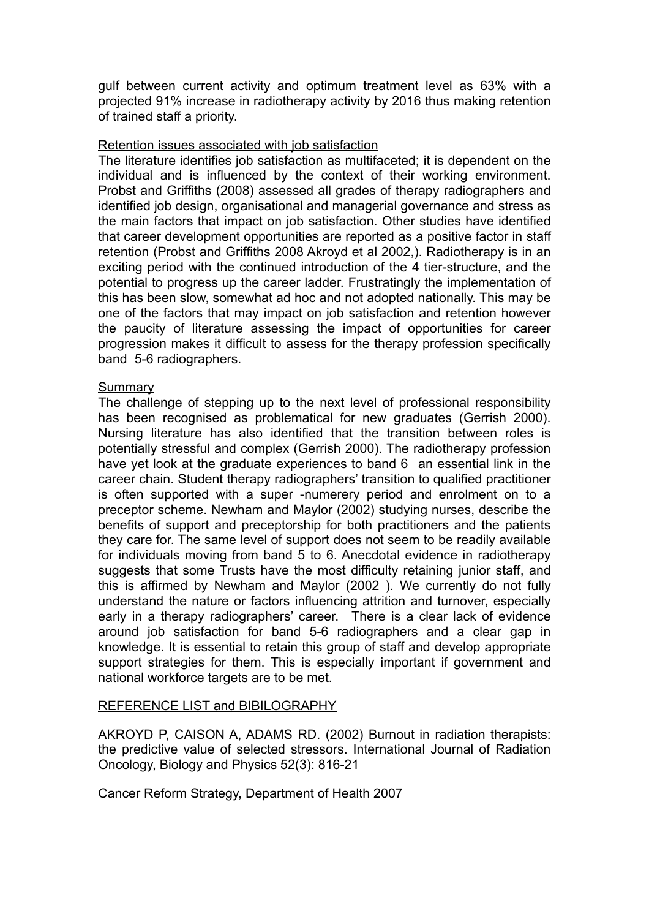gulf between current activity and optimum treatment level as 63% with a projected 91% increase in radiotherapy activity by 2016 thus making retention of trained staff a priority.

#### Retention issues associated with job satisfaction

The literature identifies job satisfaction as multifaceted; it is dependent on the individual and is influenced by the context of their working environment. Probst and Griffiths (2008) assessed all grades of therapy radiographers and identified job design, organisational and managerial governance and stress as the main factors that impact on job satisfaction. Other studies have identified that career development opportunities are reported as a positive factor in staff retention (Probst and Griffiths 2008 Akroyd et al 2002,). Radiotherapy is in an exciting period with the continued introduction of the 4 tier-structure, and the potential to progress up the career ladder. Frustratingly the implementation of this has been slow, somewhat ad hoc and not adopted nationally. This may be one of the factors that may impact on job satisfaction and retention however the paucity of literature assessing the impact of opportunities for career progression makes it difficult to assess for the therapy profession specifically band 5-6 radiographers.

#### **Summary**

The challenge of stepping up to the next level of professional responsibility has been recognised as problematical for new graduates (Gerrish 2000). Nursing literature has also identified that the transition between roles is potentially stressful and complex (Gerrish 2000). The radiotherapy profession have yet look at the graduate experiences to band 6 an essential link in the career chain. Student therapy radiographers' transition to qualified practitioner is often supported with a super -numerery period and enrolment on to a preceptor scheme. Newham and Maylor (2002) studying nurses, describe the benefits of support and preceptorship for both practitioners and the patients they care for. The same level of support does not seem to be readily available for individuals moving from band 5 to 6. Anecdotal evidence in radiotherapy suggests that some Trusts have the most difficulty retaining junior staff, and this is affirmed by Newham and Maylor (2002 ). We currently do not fully understand the nature or factors influencing attrition and turnover, especially early in a therapy radiographers' career. There is a clear lack of evidence around job satisfaction for band 5-6 radiographers and a clear gap in knowledge. It is essential to retain this group of staff and develop appropriate support strategies for them. This is especially important if government and national workforce targets are to be met.

## REFERENCE LIST and BIBILOGRAPHY

AKROYD P, CAISON A, ADAMS RD. (2002) Burnout in radiation therapists: the predictive value of selected stressors. International Journal of Radiation Oncology, Biology and Physics 52(3): 816-21

Cancer Reform Strategy, Department of Health 2007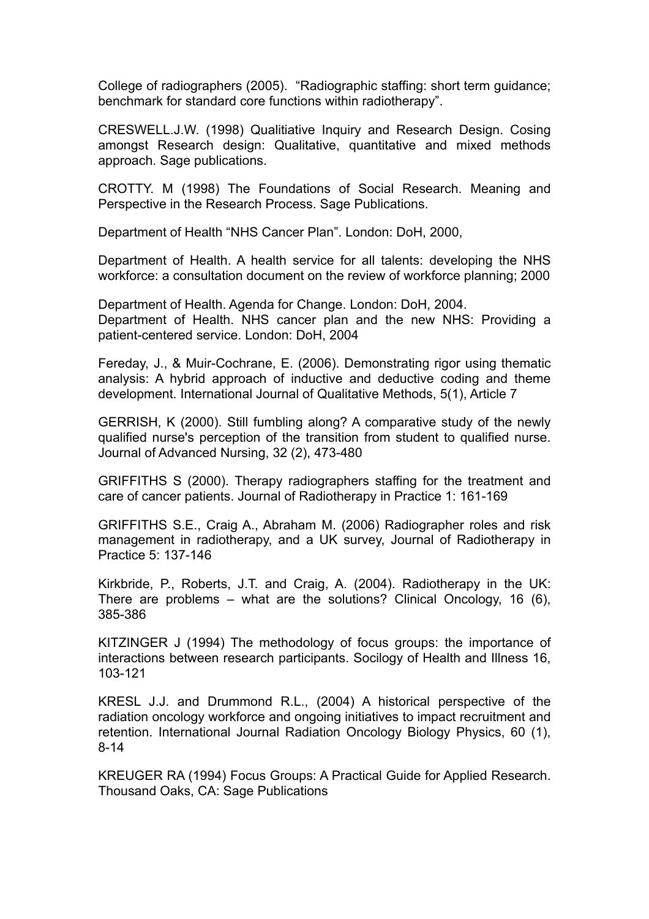College of radiographers (2005). "Radiographic staffing: short term guidance; benchmark for standard core functions within radiotherapy".

CRESWELL.J.W. (1998) Qualitiative Inquiry and Research Design. Cosing amongst Research design: Qualitative, quantitative and mixed methods approach. Sage publications.

CROTTY. M (1998) The Foundations of Social Research. Meaning and Perspective in the Research Process. Sage Publications.

Department of Health "NHS Cancer Plan". London: DoH, 2000,

Department of Health. A health service for all talents: developing the NHS workforce: a consultation document on the review of workforce planning; 2000

Department of Health. Agenda for Change. London: DoH, 2004. Department of Health. NHS cancer plan and the new NHS: Providing a patient-centered service. London: DoH, 2004

Fereday, J., & Muir-Cochrane, E. (2006). Demonstrating rigor using thematic analysis: A hybrid approach of inductive and deductive coding and theme development. International Journal of Qualitative Methods, 5(1), Article 7

GERRISH, K (2000). Still fumbling along? A comparative study of the newly qualified nurse's perception of the transition from student to qualified nurse. Journal of Advanced Nursing, 32 (2), 473-480

GRIFFITHS S (2000). Therapy radiographers staffing for the treatment and care of cancer patients. Journal of Radiotherapy in Practice 1: 161-169

GRIFFITHS S.E., Craig A., Abraham M. (2006) Radiographer roles and risk management in radiotherapy, and a UK survey, Journal of Radiotherapy in Practice 5: 137-146

Kirkbride, P., Roberts, J.T. and Craig, A. (2004). Radiotherapy in the UK: There are problems – what are the solutions? Clinical Oncology, 16 (6), 385-386

KITZINGER J (1994) The methodology of focus groups: the importance of interactions between research participants. Socilogy of Health and Illness 16, 103-121

KRESL J.J. and Drummond R.L., (2004) A historical perspective of the radiation oncology workforce and ongoing initiatives to impact recruitment and retention. International Journal Radiation Oncology Biology Physics, 60 (1), 8-14

KREUGER RA (1994) Focus Groups: A Practical Guide for Applied Research. Thousand Oaks, CA: Sage Publications